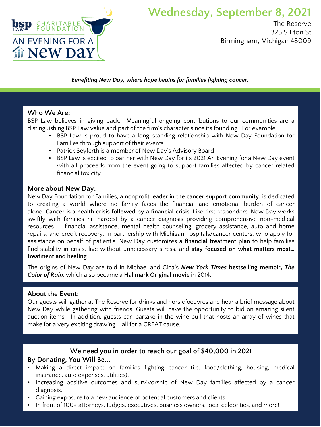

## **Wednesday, September 8, 2021**

The Reserve 325 S Eton St Birmingham, Michigan 48009

*Benefiting New Day, where hope begins for families fighting cancer.* 

#### **Who We Are:**

BSP Law believes in giving back. Meaningful ongoing contributions to our communities are a distinguishing BSP Law value and part of the firm's character since its founding. For example:

- BSP Law is proud to have a long-standing relationship with New Day Foundation for Families through support of their events
- Patrick Seyferth is a member of New Day's Advisory Board
- BSP Law is excited to partner with New Day for its 2021 An Evening for a New Day event with all proceeds from the event going to support families affected by cancer related financial toxicity

### **More about New Day:**

New Day Foundation for Families, a nonprofit **leader in the cancer support community**, is dedicated to creating a world where no family faces the financial and emotional burden of cancer alone. **Cancer is a health crisis followed by a financial crisis**. Like first responders, New Day works swiftly with families hit hardest by a cancer diagnosis providing comprehensive non-medical resources — financial assistance, mental health counseling, grocery assistance, auto and home repairs, and credit recovery. In partnership with Michigan hospitals/cancer centers, who apply for assistance on behalf of patient's, New Day customizes a **financial treatment plan** to help families find stability in crisis, live without unnecessary stress, and **stay focused on what matters most… treatment and healing**.

The origins of New Day are told in Michael and Gina's *New York Times* **bestselling memoir,** *The Color of Rain,* which also became a **Hallmark Original movie** in 2014.

### **About the Event:**

Our guests will gather at The Reserve for drinks and hors d'oeuvres and hear a brief message about New Day while gathering with friends. Guests will have the opportunity to bid on amazing silent auction items. In addition, guests can partake in the wine pull that hosts an array of wines that make for a very exciting drawing – all for a GREAT cause.

### **We need you in order to reach our goal of \$40,000 in 2021**

### **By Donating, You Will Be...**

- Making a direct impact on families fighting cancer (i.e. food/clothing, housing, medical insurance, auto expenses, utilities).
- Increasing positive outcomes and survivorship of New Day families affected by a cancer diagnosis.
- Gaining exposure to a new audience of potential customers and clients.
- In front of 100+ attorneys, Judges, executives, business owners, local celebrities, and more!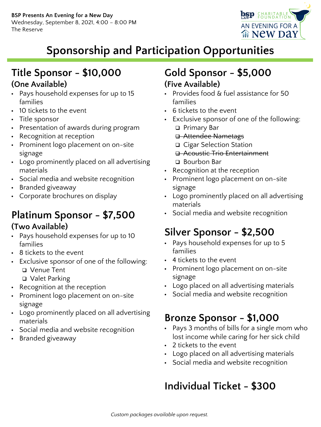

# **Sponsorship and Participation Opportunities**

### **Title Sponsor - \$10,000 (One Available)**

- Pays household expenses for up to 15 families
- 10 tickets to the event
- Title sponsor
- Presentation of awards during program
- Recognition at reception
- Prominent logo placement on on-site signage
- Logo prominently placed on all advertising materials
- Social media and website recognition
- Branded giveaway
- Corporate brochures on display

### **Platinum Sponsor - \$7,500 (Two Available)**

- Pays household expenses for up to 10 families
- 8 tickets to the event
- Exclusive sponsor of one of the following:
	- Venue Tent
	- Valet Parking
- Recognition at the reception
- Prominent logo placement on on-site signage
- Logo prominently placed on all advertising materials
- Social media and website recognition
- Branded giveaway

### **Gold Sponsor - \$5,000 (Five Available)**

- Provides food & fuel assistance for 50 families
- 6 tickets to the event
- **Exclusive sponsor of one of the following:**  Primary Bar
	- **a** Attendee Nametags
	- □ Cigar Selection Station
	- **a** Acoustic Trio Entertainment □ Bourbon Bar
- Recognition at the reception
- Prominent logo placement on on-site signage
- Logo prominently placed on all advertising materials
- Social media and website recognition

# **Silver Sponsor - \$2,500**

- Pays household expenses for up to 5 families
- 4 tickets to the event
- Prominent logo placement on on-site signage
- Logo placed on all advertising materials
- Social media and website recognition

## **Bronze Sponsor - \$1,000**

- Pays 3 months of bills for a single mom who lost income while caring for her sick child
- 2 tickets to the event
- Logo placed on all advertising materials
- Social media and website recognition

# **Individual Ticket - \$300**